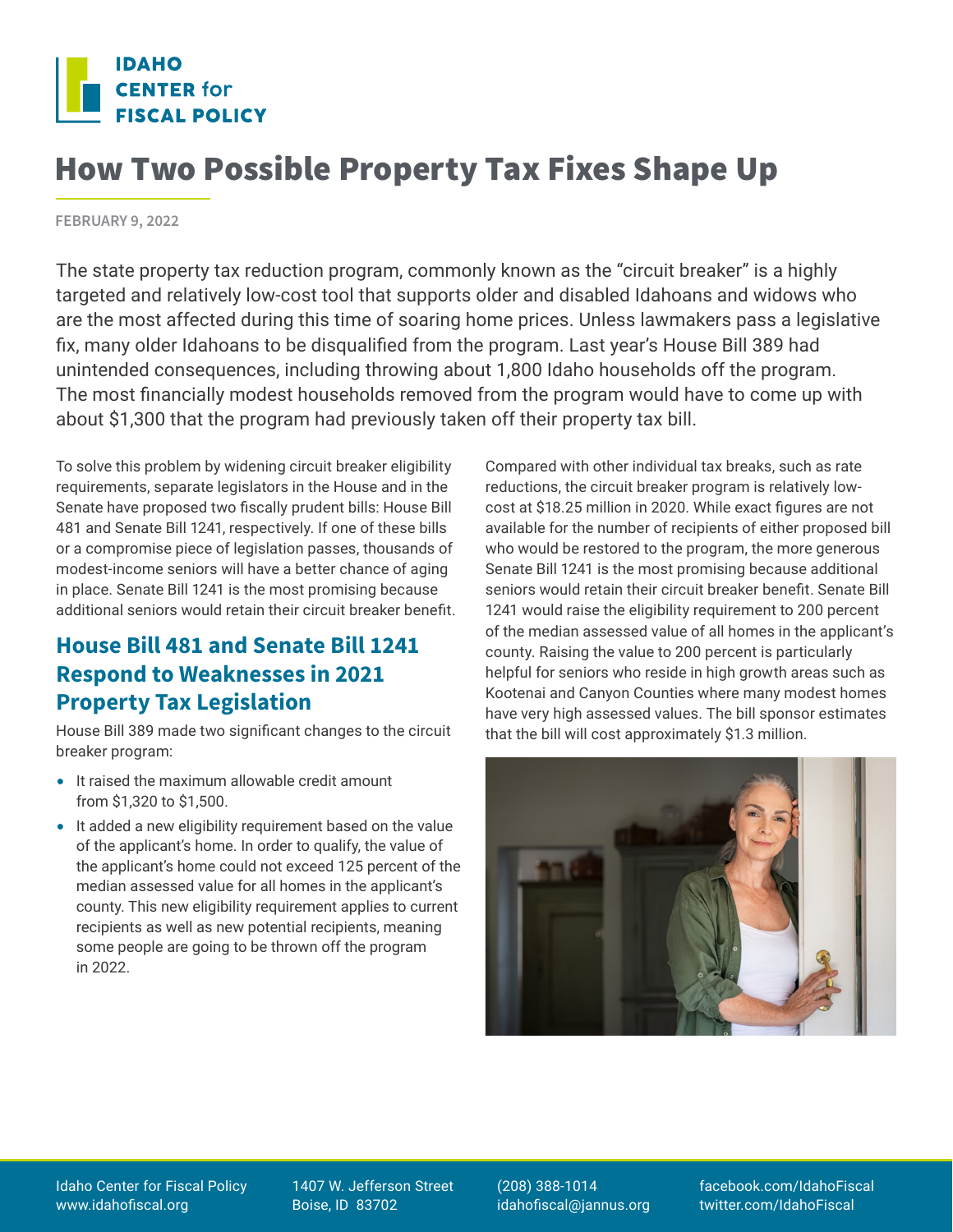

## How Two Possible Property Tax Fixes Shape Up

**FEBRUARY 9, 2022**

The state property tax reduction program, commonly known as the "circuit breaker" is a highly targeted and relatively low-cost tool that supports older and disabled Idahoans and widows who are the most affected during this time of soaring home prices. Unless lawmakers pass a legislative fix, many older Idahoans to be disqualified from the program. Last year's House Bill 389 had unintended consequences, including throwing about 1,800 Idaho households off the program. The most financially modest households removed from the program would have to come up with about \$1,300 that the program had previously taken off their property tax bill.

To solve this problem by widening circuit breaker eligibility requirements, separate legislators in the House and in the Senate have proposed two fiscally prudent bills: House Bill 481 and Senate Bill 1241, respectively. If one of these bills or a compromise piece of legislation passes, thousands of modest-income seniors will have a better chance of aging in place. Senate Bill 1241 is the most promising because additional seniors would retain their circuit breaker benefit.

## **House Bill 481 and Senate Bill 1241 Respond to Weaknesses in 2021 Property Tax Legislation**

House Bill 389 made two significant changes to the circuit breaker program:

- It raised the maximum allowable credit amount from \$1,320 to \$1,500.
- It added a new eligibility requirement based on the value of the applicant's home. In order to qualify, the value of the applicant's home could not exceed 125 percent of the median assessed value for all homes in the applicant's county. This new eligibility requirement applies to current recipients as well as new potential recipients, meaning some people are going to be thrown off the program in 2022.

Compared with other individual tax breaks, such as rate reductions, the circuit breaker program is relatively lowcost at \$18.25 million in 2020. While exact figures are not available for the number of recipients of either proposed bill who would be restored to the program, the more generous Senate Bill 1241 is the most promising because additional seniors would retain their circuit breaker benefit. Senate Bill 1241 would raise the eligibility requirement to 200 percent of the median assessed value of all homes in the applicant's county. Raising the value to 200 percent is particularly helpful for seniors who reside in high growth areas such as Kootenai and Canyon Counties where many modest homes have very high assessed values. The bill sponsor estimates that the bill will cost approximately \$1.3 million.



1407 W. Jefferson Street Boise, ID 83702

(208) 388-1014 [idahofiscal@jannus.org](mailto:idahofiscal%40jannus.org?subject=) [facebook.com/IdahoFiscal](https://www.facebook.com/IdahoFiscal) twitter.com/[IdahoFiscal](https://twitter.com/IdahoFiscal)